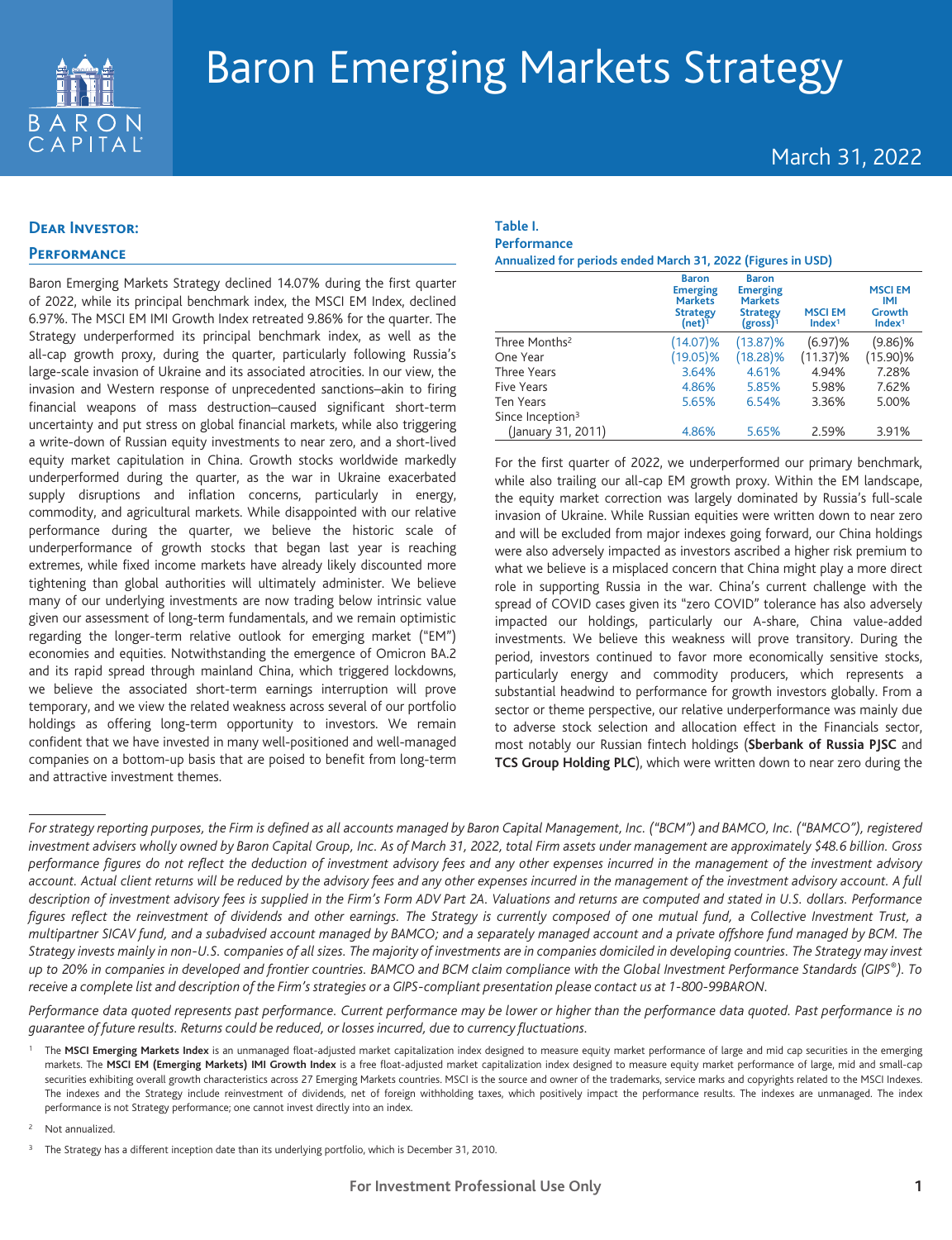

# March 31, 2022

## **Dear Investor:**

## **Performance**

Baron Emerging Markets Strategy declined 14.07% during the first quarter of 2022, while its principal benchmark index, the MSCI EM Index, declined 6.97%. The MSCI EM IMI Growth Index retreated 9.86% for the quarter. The Strategy underperformed its principal benchmark index, as well as the all-cap growth proxy, during the quarter, particularly following Russia's large-scale invasion of Ukraine and its associated atrocities. In our view, the invasion and Western response of unprecedented sanctions–akin to firing financial weapons of mass destruction–caused significant short-term uncertainty and put stress on global financial markets, while also triggering a write-down of Russian equity investments to near zero, and a short-lived equity market capitulation in China. Growth stocks worldwide markedly underperformed during the quarter, as the war in Ukraine exacerbated supply disruptions and inflation concerns, particularly in energy, commodity, and agricultural markets. While disappointed with our relative performance during the quarter, we believe the historic scale of underperformance of growth stocks that began last year is reaching extremes, while fixed income markets have already likely discounted more tightening than global authorities will ultimately administer. We believe many of our underlying investments are now trading below intrinsic value given our assessment of long-term fundamentals, and we remain optimistic regarding the longer-term relative outlook for emerging market ("EM") economies and equities. Notwithstanding the emergence of Omicron BA.2 and its rapid spread through mainland China, which triggered lockdowns, we believe the associated short-term earnings interruption will prove temporary, and we view the related weakness across several of our portfolio holdings as offering long-term opportunity to investors. We remain confident that we have invested in many well-positioned and well-managed companies on a bottom-up basis that are poised to benefit from long-term and attractive investment themes.

#### **Table I. Performance**

**Annualized for periods ended March 31, 2022 (Figures in USD)**

|                              | <b>Baron</b><br><b>Emerging</b><br><b>Markets</b><br><b>Strategy</b><br>$(net)^{\bar 1}$ | <b>Baron</b><br><b>Emerging</b><br><b>Markets</b><br><b>Strategy</b><br>$(gross)^{1}$ | <b>MSCIEM</b><br>Index <sup>1</sup> | <b>MSCIEM</b><br><b>IMI</b><br>Growth<br>Index <sup>1</sup> |
|------------------------------|------------------------------------------------------------------------------------------|---------------------------------------------------------------------------------------|-------------------------------------|-------------------------------------------------------------|
| Three Months <sup>2</sup>    | $(14.07)\%$                                                                              | $(13.87)\%$                                                                           | (6.97)%                             | $(9.86)\%$                                                  |
| One Year                     | $(19.05)\%$                                                                              | $(18.28)\%$                                                                           | $(11.37)\%$                         | $(15.90)\%$                                                 |
| Three Years                  | 3.64%                                                                                    | 4.61%                                                                                 | 4.94%                               | 7.28%                                                       |
| Five Years                   | 4.86%                                                                                    | 5.85%                                                                                 | 5.98%                               | 7.62%                                                       |
| <b>Ten Years</b>             | 5.65%                                                                                    | 6.54%                                                                                 | 3.36%                               | 5.00%                                                       |
| Since Inception <sup>3</sup> |                                                                                          |                                                                                       |                                     |                                                             |
| (January 31, 2011)           | 4.86%                                                                                    | 5.65%                                                                                 | 2.59%                               | 3.91%                                                       |

For the first quarter of 2022, we underperformed our primary benchmark, while also trailing our all-cap EM growth proxy. Within the EM landscape, the equity market correction was largely dominated by Russia's full-scale invasion of Ukraine. While Russian equities were written down to near zero and will be excluded from major indexes going forward, our China holdings were also adversely impacted as investors ascribed a higher risk premium to what we believe is a misplaced concern that China might play a more direct role in supporting Russia in the war. China's current challenge with the spread of COVID cases given its "zero COVID" tolerance has also adversely impacted our holdings, particularly our A-share, China value-added investments. We believe this weakness will prove transitory. During the period, investors continued to favor more economically sensitive stocks, particularly energy and commodity producers, which represents a substantial headwind to performance for growth investors globally. From a sector or theme perspective, our relative underperformance was mainly due to adverse stock selection and allocation effect in the Financials sector, most notably our Russian fintech holdings (**Sberbank of Russia PJSC** and **TCS Group Holding PLC**), which were written down to near zero during the

*Performance data quoted represents past performance. Current performance may be lower or higher than the performance data quoted. Past performance is no guarantee of future results. Returns could be reduced, or losses incurred, due to currency fluctuations.*

<sup>2</sup> Not annualized.

*For strategy reporting purposes, the Firm is defined as all accounts managed by Baron Capital Management, Inc. ("BCM") and BAMCO, Inc. ("BAMCO"), registered investment advisers wholly owned by Baron Capital Group, Inc. As of March 31, 2022, total Firm assets under management are approximately \$48.6 billion. Gross performance figures do not reflect the deduction of investment advisory fees and any other expenses incurred in the management of the investment advisory account. Actual client returns will be reduced by the advisory fees and any other expenses incurred in the management of the investment advisory account. A full description of investment advisory fees is supplied in the Firm's Form ADV Part 2A. Valuations and returns are computed and stated in U.S. dollars. Performance figures reflect the reinvestment of dividends and other earnings. The Strategy is currently composed of one mutual fund, a Collective Investment Trust, a multipartner SICAV fund, and a subadvised account managed by BAMCO; and a separately managed account and a private offshore fund managed by BCM. The Strategy invests mainly in non-U.S. companies of all sizes. The majority of investments are in companies domiciled in developing countries. The Strategy may invest up to 20% in companies in developed and frontier countries. BAMCO and BCM claim compliance with the Global Investment Performance Standards (GIPS®). To receive a complete list and description of the Firm's strategies or a GIPS-compliant presentation please contact us at 1-800-99BARON.*

The MSCI Emerging Markets Index is an unmanaged float-adjusted market capitalization index designed to measure equity market performance of large and mid cap securities in the emerging markets. The **MSCI EM (Emerging Markets) IMI Growth Index** is a free float-adjusted market capitalization index designed to measure equity market performance of large, mid and small-cap securities exhibiting overall growth characteristics across 27 Emerging Markets countries. MSCI is the source and owner of the trademarks, service marks and copyrights related to the MSCI Indexes. The indexes and the Strategy include reinvestment of dividends, net of foreign withholding taxes, which positively impact the performance results. The indexes are unmanaged. The index performance is not Strategy performance; one cannot invest directly into an index.

<sup>&</sup>lt;sup>3</sup> The Strategy has a different inception date than its underlying portfolio, which is December 31, 2010.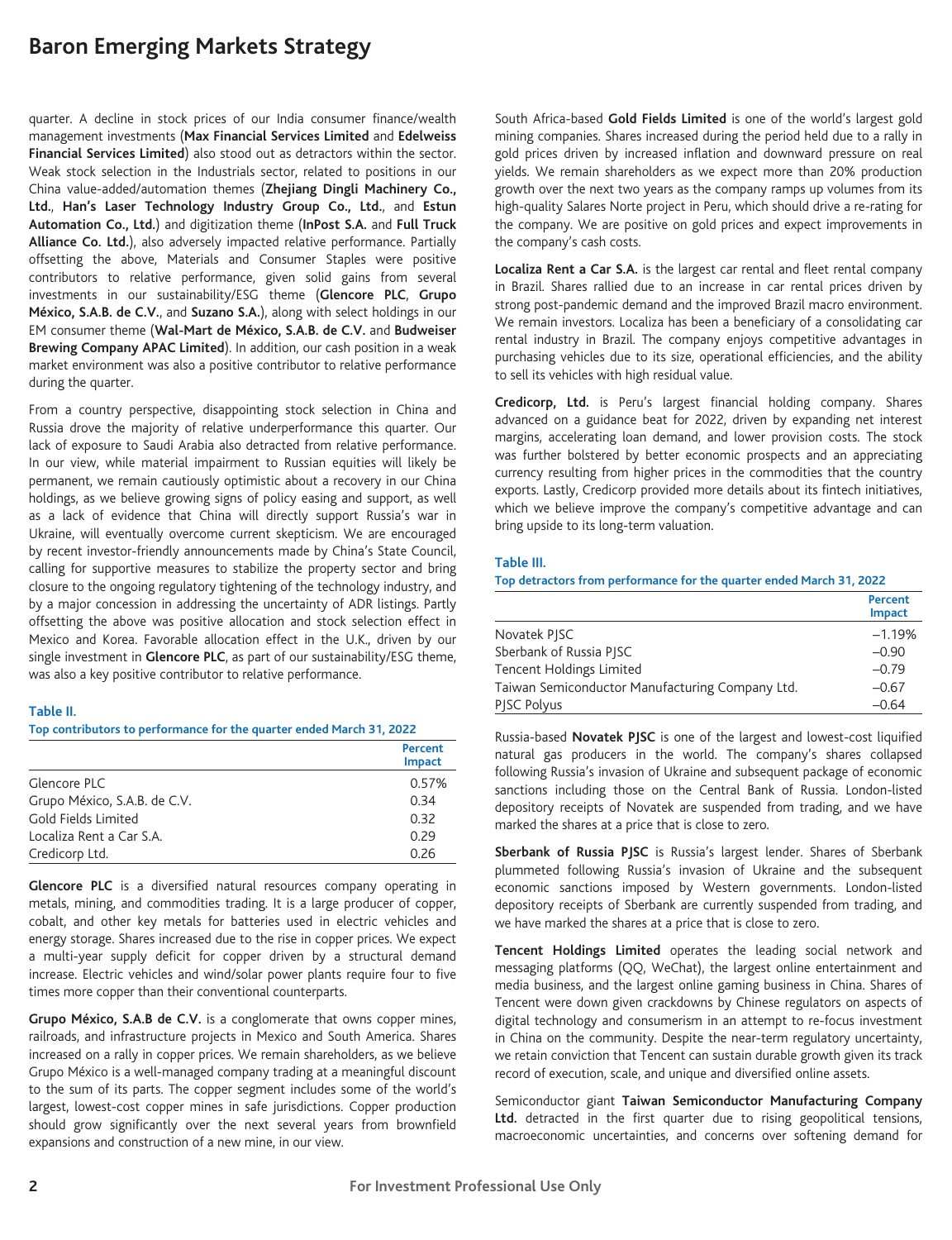quarter. A decline in stock prices of our India consumer finance/wealth management investments (**Max Financial Services Limited** and **Edelweiss Financial Services Limited**) also stood out as detractors within the sector. Weak stock selection in the Industrials sector, related to positions in our China value-added/automation themes (**Zhejiang Dingli Machinery Co., Ltd.**, **Han's Laser Technology Industry Group Co., Ltd.**, and **Estun Automation Co., Ltd.**) and digitization theme (**InPost S.A.** and **Full Truck Alliance Co. Ltd.**), also adversely impacted relative performance. Partially offsetting the above, Materials and Consumer Staples were positive contributors to relative performance, given solid gains from several investments in our sustainability/ESG theme (**Glencore PLC**, **Grupo México, S.A.B. de C.V.**, and **Suzano S.A.**), along with select holdings in our EM consumer theme (**Wal-Mart de México, S.A.B. de C.V.** and **Budweiser Brewing Company APAC Limited**). In addition, our cash position in a weak market environment was also a positive contributor to relative performance during the quarter.

From a country perspective, disappointing stock selection in China and Russia drove the majority of relative underperformance this quarter. Our lack of exposure to Saudi Arabia also detracted from relative performance. In our view, while material impairment to Russian equities will likely be permanent, we remain cautiously optimistic about a recovery in our China holdings, as we believe growing signs of policy easing and support, as well as a lack of evidence that China will directly support Russia's war in Ukraine, will eventually overcome current skepticism. We are encouraged by recent investor-friendly announcements made by China's State Council, calling for supportive measures to stabilize the property sector and bring closure to the ongoing regulatory tightening of the technology industry, and by a major concession in addressing the uncertainty of ADR listings. Partly offsetting the above was positive allocation and stock selection effect in Mexico and Korea. Favorable allocation effect in the U.K., driven by our single investment in **Glencore PLC**, as part of our sustainability/ESG theme, was also a key positive contributor to relative performance.

#### **Table II.**

**Top contributors to performance for the quarter ended March 31, 2022**

|                              | Percent<br><b>Impact</b> |
|------------------------------|--------------------------|
| Glencore PLC                 | 0.57%                    |
| Grupo México, S.A.B. de C.V. | 0.34                     |
| Gold Fields Limited          | 0.32                     |
| Localiza Rent a Car S.A.     | 0.29                     |
| Credicorp Ltd.               | <u>በ 26</u>              |

**Glencore PLC** is a diversified natural resources company operating in metals, mining, and commodities trading. It is a large producer of copper, cobalt, and other key metals for batteries used in electric vehicles and energy storage. Shares increased due to the rise in copper prices. We expect a multi-year supply deficit for copper driven by a structural demand increase. Electric vehicles and wind/solar power plants require four to five times more copper than their conventional counterparts.

**Grupo México, S.A.B de C.V.** is a conglomerate that owns copper mines, railroads, and infrastructure projects in Mexico and South America. Shares increased on a rally in copper prices. We remain shareholders, as we believe Grupo México is a well-managed company trading at a meaningful discount to the sum of its parts. The copper segment includes some of the world's largest, lowest-cost copper mines in safe jurisdictions. Copper production should grow significantly over the next several years from brownfield expansions and construction of a new mine, in our view.

South Africa-based **Gold Fields Limited** is one of the world's largest gold mining companies. Shares increased during the period held due to a rally in gold prices driven by increased inflation and downward pressure on real yields. We remain shareholders as we expect more than 20% production growth over the next two years as the company ramps up volumes from its high-quality Salares Norte project in Peru, which should drive a re-rating for the company. We are positive on gold prices and expect improvements in the company's cash costs.

**Localiza Rent a Car S.A.** is the largest car rental and fleet rental company in Brazil. Shares rallied due to an increase in car rental prices driven by strong post-pandemic demand and the improved Brazil macro environment. We remain investors. Localiza has been a beneficiary of a consolidating car rental industry in Brazil. The company enjoys competitive advantages in purchasing vehicles due to its size, operational efficiencies, and the ability to sell its vehicles with high residual value.

**Credicorp, Ltd.** is Peru's largest financial holding company. Shares advanced on a guidance beat for 2022, driven by expanding net interest margins, accelerating loan demand, and lower provision costs. The stock was further bolstered by better economic prospects and an appreciating currency resulting from higher prices in the commodities that the country exports. Lastly, Credicorp provided more details about its fintech initiatives, which we believe improve the company's competitive advantage and can bring upside to its long-term valuation.

#### **Table III.**

**Top detractors from performance for the quarter ended March 31, 2022**

|                                                 | <b>Percent</b><br>Impact |
|-------------------------------------------------|--------------------------|
| Novatek PJSC                                    | $-1.19%$                 |
| Sberbank of Russia PISC                         | $-0.90$                  |
| Tencent Holdings Limited                        | $-0.79$                  |
| Taiwan Semiconductor Manufacturing Company Ltd. | $-0.67$                  |
| PJSC Polyus                                     | $-0.64$                  |

Russia-based **Novatek PJSC** is one of the largest and lowest-cost liquified natural gas producers in the world. The company's shares collapsed following Russia's invasion of Ukraine and subsequent package of economic sanctions including those on the Central Bank of Russia. London-listed depository receipts of Novatek are suspended from trading, and we have marked the shares at a price that is close to zero.

**Sberbank of Russia PJSC** is Russia's largest lender. Shares of Sberbank plummeted following Russia's invasion of Ukraine and the subsequent economic sanctions imposed by Western governments. London-listed depository receipts of Sberbank are currently suspended from trading, and we have marked the shares at a price that is close to zero.

**Tencent Holdings Limited** operates the leading social network and messaging platforms (QQ, WeChat), the largest online entertainment and media business, and the largest online gaming business in China. Shares of Tencent were down given crackdowns by Chinese regulators on aspects of digital technology and consumerism in an attempt to re-focus investment in China on the community. Despite the near-term regulatory uncertainty, we retain conviction that Tencent can sustain durable growth given its track record of execution, scale, and unique and diversified online assets.

Semiconductor giant **Taiwan Semiconductor Manufacturing Company Ltd.** detracted in the first quarter due to rising geopolitical tensions, macroeconomic uncertainties, and concerns over softening demand for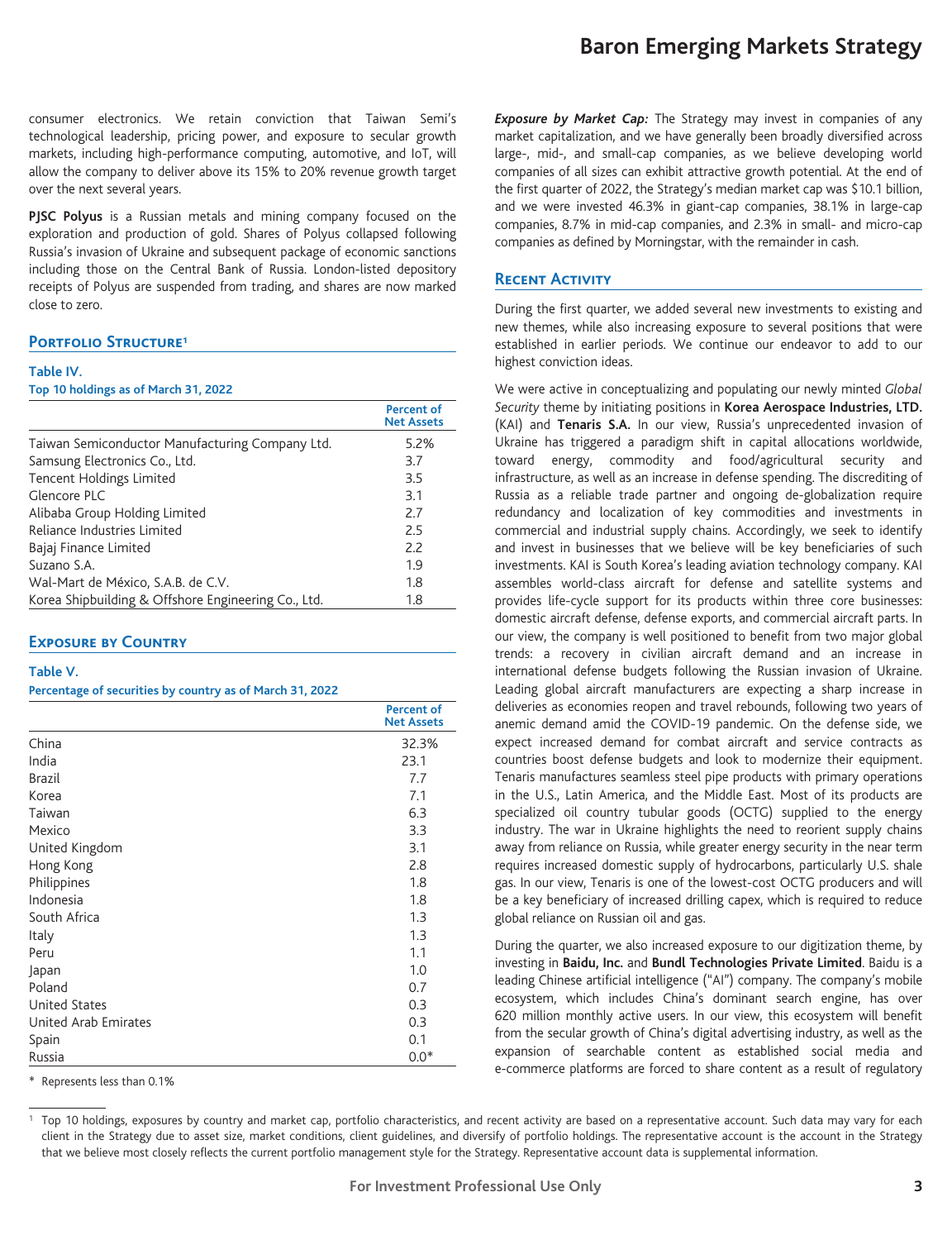consumer electronics. We retain conviction that Taiwan Semi's technological leadership, pricing power, and exposure to secular growth markets, including high-performance computing, automotive, and IoT, will allow the company to deliver above its 15% to 20% revenue growth target over the next several years.

**PJSC Polyus** is a Russian metals and mining company focused on the exploration and production of gold. Shares of Polyus collapsed following Russia's invasion of Ukraine and subsequent package of economic sanctions including those on the Central Bank of Russia. London-listed depository receipts of Polyus are suspended from trading, and shares are now marked close to zero.

#### **PORTFOLIO STRUCTURE<sup>1</sup>**

#### **Table IV.**

#### **Top 10 holdings as of March 31, 2022**

|                                                     | <b>Percent of</b><br><b>Net Assets</b> |
|-----------------------------------------------------|----------------------------------------|
| Taiwan Semiconductor Manufacturing Company Ltd.     | 5.2%                                   |
| Samsung Electronics Co., Ltd.                       | 3.7                                    |
| <b>Tencent Holdings Limited</b>                     | 3.5                                    |
| Glencore PLC                                        | 3.1                                    |
| Alibaba Group Holding Limited                       | 2.7                                    |
| Reliance Industries Limited                         | 2.5                                    |
| Bajaj Finance Limited                               | 2.2                                    |
| Suzano S.A.                                         | 1.9                                    |
| Wal-Mart de México, S.A.B. de C.V.                  | 1.8                                    |
| Korea Shipbuilding & Offshore Engineering Co., Ltd. | 1.8                                    |

#### **Exposure by Country**

#### **Table V.**

#### **Percentage of securities by country as of March 31, 2022**

|                      | <b>Percent of</b><br><b>Net Assets</b> |
|----------------------|----------------------------------------|
| China                | 32.3%                                  |
| India                | 23.1                                   |
| <b>Brazil</b>        | 7.7                                    |
| Korea                | 7.1                                    |
| Taiwan               | 6.3                                    |
| Mexico               | 3.3                                    |
| United Kingdom       | 3.1                                    |
| Hong Kong            | 2.8                                    |
| Philippines          | 1.8                                    |
| Indonesia            | 1.8                                    |
| South Africa         | 1.3                                    |
| Italy                | 1.3                                    |
| Peru                 | 1.1                                    |
| Japan                | 1.0                                    |
| Poland               | 0.7                                    |
| <b>United States</b> | 0.3                                    |
| United Arab Emirates | 0.3                                    |
| Spain                | 0.1                                    |
| Russia               | $0.0*$                                 |

Represents less than 0.1%

*Exposure by Market Cap:* The Strategy may invest in companies of any market capitalization, and we have generally been broadly diversified across large-, mid-, and small-cap companies, as we believe developing world companies of all sizes can exhibit attractive growth potential. At the end of the first quarter of 2022, the Strategy's median market cap was \$10.1 billion, and we were invested 46.3% in giant-cap companies, 38.1% in large-cap companies, 8.7% in mid-cap companies, and 2.3% in small- and micro-cap companies as defined by Morningstar, with the remainder in cash.

### **Recent Activity**

During the first quarter, we added several new investments to existing and new themes, while also increasing exposure to several positions that were established in earlier periods. We continue our endeavor to add to our highest conviction ideas.

We were active in conceptualizing and populating our newly minted *Global Security* theme by initiating positions in **Korea Aerospace Industries, LTD.** (KAI) and **Tenaris S.A.** In our view, Russia's unprecedented invasion of Ukraine has triggered a paradigm shift in capital allocations worldwide, toward energy, commodity and food/agricultural security and infrastructure, as well as an increase in defense spending. The discrediting of Russia as a reliable trade partner and ongoing de-globalization require redundancy and localization of key commodities and investments in commercial and industrial supply chains. Accordingly, we seek to identify and invest in businesses that we believe will be key beneficiaries of such investments. KAI is South Korea's leading aviation technology company. KAI assembles world-class aircraft for defense and satellite systems and provides life-cycle support for its products within three core businesses: domestic aircraft defense, defense exports, and commercial aircraft parts. In our view, the company is well positioned to benefit from two major global trends: a recovery in civilian aircraft demand and an increase in international defense budgets following the Russian invasion of Ukraine. Leading global aircraft manufacturers are expecting a sharp increase in deliveries as economies reopen and travel rebounds, following two years of anemic demand amid the COVID-19 pandemic. On the defense side, we expect increased demand for combat aircraft and service contracts as countries boost defense budgets and look to modernize their equipment. Tenaris manufactures seamless steel pipe products with primary operations in the U.S., Latin America, and the Middle East. Most of its products are specialized oil country tubular goods (OCTG) supplied to the energy industry. The war in Ukraine highlights the need to reorient supply chains away from reliance on Russia, while greater energy security in the near term requires increased domestic supply of hydrocarbons, particularly U.S. shale gas. In our view, Tenaris is one of the lowest-cost OCTG producers and will be a key beneficiary of increased drilling capex, which is required to reduce global reliance on Russian oil and gas.

During the quarter, we also increased exposure to our digitization theme, by investing in **Baidu, Inc.** and **Bundl Technologies Private Limited**. Baidu is a leading Chinese artificial intelligence ("AI") company. The company's mobile ecosystem, which includes China's dominant search engine, has over 620 million monthly active users. In our view, this ecosystem will benefit from the secular growth of China's digital advertising industry, as well as the expansion of searchable content as established social media and e-commerce platforms are forced to share content as a result of regulatory

**Baron Emerging Markets Strategy**

Top 10 holdings, exposures by country and market cap, portfolio characteristics, and recent activity are based on a representative account. Such data may vary for each client in the Strategy due to asset size, market conditions, client guidelines, and diversify of portfolio holdings. The representative account is the account in the Strategy that we believe most closely reflects the current portfolio management style for the Strategy. Representative account data is supplemental information.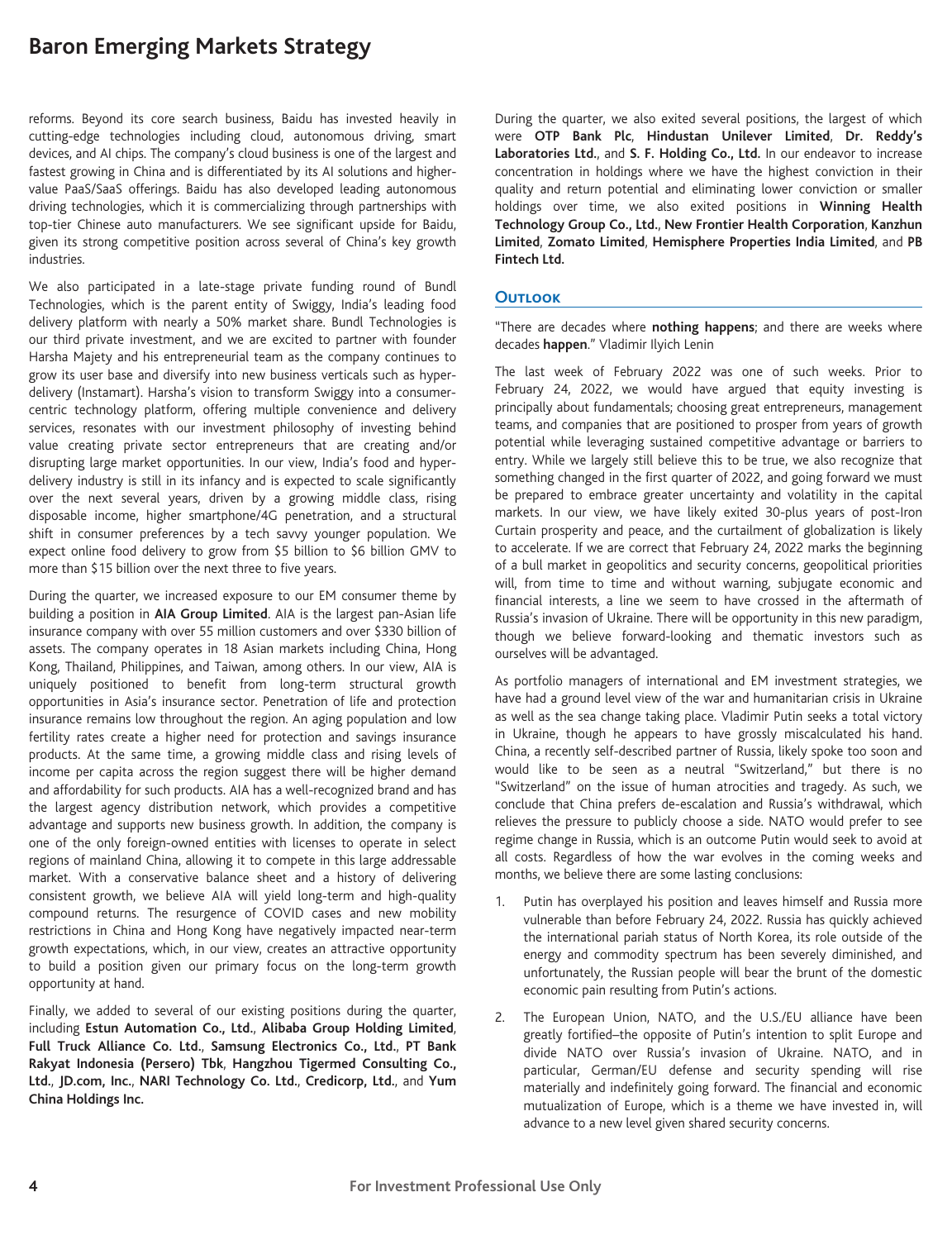reforms. Beyond its core search business, Baidu has invested heavily in cutting-edge technologies including cloud, autonomous driving, smart devices, and AI chips. The company's cloud business is one of the largest and fastest growing in China and is differentiated by its AI solutions and highervalue PaaS/SaaS offerings. Baidu has also developed leading autonomous driving technologies, which it is commercializing through partnerships with top-tier Chinese auto manufacturers. We see significant upside for Baidu, given its strong competitive position across several of China's key growth industries.

We also participated in a late-stage private funding round of Bundl Technologies, which is the parent entity of Swiggy, India's leading food delivery platform with nearly a 50% market share. Bundl Technologies is our third private investment, and we are excited to partner with founder Harsha Majety and his entrepreneurial team as the company continues to grow its user base and diversify into new business verticals such as hyperdelivery (Instamart). Harsha's vision to transform Swiggy into a consumercentric technology platform, offering multiple convenience and delivery services, resonates with our investment philosophy of investing behind value creating private sector entrepreneurs that are creating and/or disrupting large market opportunities. In our view, India's food and hyperdelivery industry is still in its infancy and is expected to scale significantly over the next several years, driven by a growing middle class, rising disposable income, higher smartphone/4G penetration, and a structural shift in consumer preferences by a tech savvy younger population. We expect online food delivery to grow from \$5 billion to \$6 billion GMV to more than \$15 billion over the next three to five years.

During the quarter, we increased exposure to our EM consumer theme by building a position in **AIA Group Limited**. AIA is the largest pan-Asian life insurance company with over 55 million customers and over \$330 billion of assets. The company operates in 18 Asian markets including China, Hong Kong, Thailand, Philippines, and Taiwan, among others. In our view, AIA is uniquely positioned to benefit from long-term structural growth opportunities in Asia's insurance sector. Penetration of life and protection insurance remains low throughout the region. An aging population and low fertility rates create a higher need for protection and savings insurance products. At the same time, a growing middle class and rising levels of income per capita across the region suggest there will be higher demand and affordability for such products. AIA has a well-recognized brand and has the largest agency distribution network, which provides a competitive advantage and supports new business growth. In addition, the company is one of the only foreign-owned entities with licenses to operate in select regions of mainland China, allowing it to compete in this large addressable market. With a conservative balance sheet and a history of delivering consistent growth, we believe AIA will yield long-term and high-quality compound returns. The resurgence of COVID cases and new mobility restrictions in China and Hong Kong have negatively impacted near-term growth expectations, which, in our view, creates an attractive opportunity to build a position given our primary focus on the long-term growth opportunity at hand.

Finally, we added to several of our existing positions during the quarter, including **Estun Automation Co., Ltd.**, **Alibaba Group Holding Limited**, **Full Truck Alliance Co. Ltd.**, **Samsung Electronics Co., Ltd.**, **PT Bank Rakyat Indonesia (Persero) Tbk**, **Hangzhou Tigermed Consulting Co., Ltd.**, **JD.com, Inc.**, **NARI Technology Co. Ltd.**, **Credicorp, Ltd.**, and **Yum China Holdings Inc.**

During the quarter, we also exited several positions, the largest of which were **OTP Bank Plc**, **Hindustan Unilever Limited**, **Dr. Reddy's Laboratories Ltd.**, and **S. F. Holding Co., Ltd.** In our endeavor to increase concentration in holdings where we have the highest conviction in their quality and return potential and eliminating lower conviction or smaller holdings over time, we also exited positions in **Winning Health Technology Group Co., Ltd.**, **New Frontier Health Corporation**, **Kanzhun Limited**, **Zomato Limited**, **Hemisphere Properties India Limited**, and **PB Fintech Ltd.**

#### **Outlook**

"There are decades where **nothing happens**; and there are weeks where decades **happen**." Vladimir Ilyich Lenin

The last week of February 2022 was one of such weeks. Prior to February 24, 2022, we would have argued that equity investing is principally about fundamentals; choosing great entrepreneurs, management teams, and companies that are positioned to prosper from years of growth potential while leveraging sustained competitive advantage or barriers to entry. While we largely still believe this to be true, we also recognize that something changed in the first quarter of 2022, and going forward we must be prepared to embrace greater uncertainty and volatility in the capital markets. In our view, we have likely exited 30-plus years of post-Iron Curtain prosperity and peace, and the curtailment of globalization is likely to accelerate. If we are correct that February 24, 2022 marks the beginning of a bull market in geopolitics and security concerns, geopolitical priorities will, from time to time and without warning, subjugate economic and financial interests, a line we seem to have crossed in the aftermath of Russia's invasion of Ukraine. There will be opportunity in this new paradigm, though we believe forward-looking and thematic investors such as ourselves will be advantaged.

As portfolio managers of international and EM investment strategies, we have had a ground level view of the war and humanitarian crisis in Ukraine as well as the sea change taking place. Vladimir Putin seeks a total victory in Ukraine, though he appears to have grossly miscalculated his hand. China, a recently self-described partner of Russia, likely spoke too soon and would like to be seen as a neutral "Switzerland," but there is no "Switzerland" on the issue of human atrocities and tragedy. As such, we conclude that China prefers de-escalation and Russia's withdrawal, which relieves the pressure to publicly choose a side. NATO would prefer to see regime change in Russia, which is an outcome Putin would seek to avoid at all costs. Regardless of how the war evolves in the coming weeks and months, we believe there are some lasting conclusions:

- 1. Putin has overplayed his position and leaves himself and Russia more vulnerable than before February 24, 2022. Russia has quickly achieved the international pariah status of North Korea, its role outside of the energy and commodity spectrum has been severely diminished, and unfortunately, the Russian people will bear the brunt of the domestic economic pain resulting from Putin's actions.
- 2. The European Union, NATO, and the U.S./EU alliance have been greatly fortified–the opposite of Putin's intention to split Europe and divide NATO over Russia's invasion of Ukraine. NATO, and in particular, German/EU defense and security spending will rise materially and indefinitely going forward. The financial and economic mutualization of Europe, which is a theme we have invested in, will advance to a new level given shared security concerns.